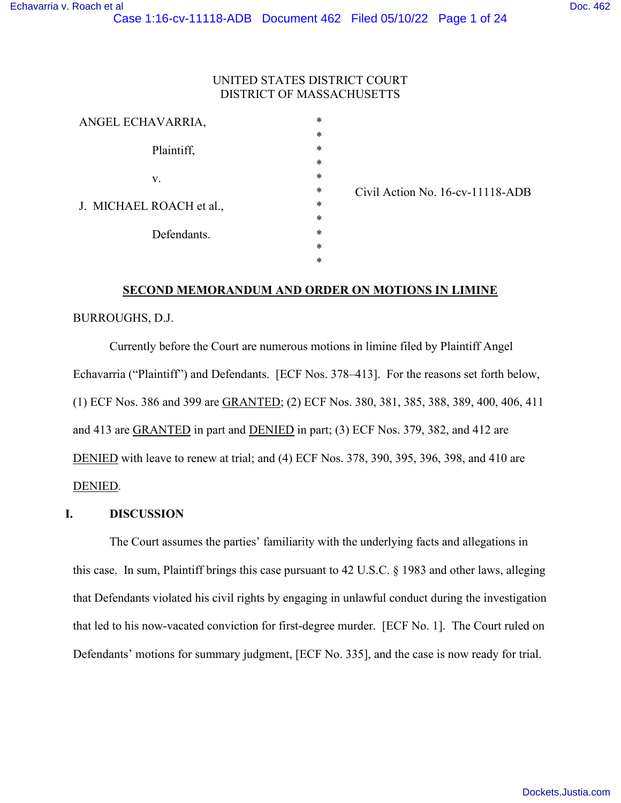### UNITED STATES DISTRICT COURT DISTRICT OF MASSACHUSETTS

| ANGEL ECHAVARRIA,        |             | $\ast$ |
|--------------------------|-------------|--------|
|                          |             | *      |
|                          | Plaintiff,  | *      |
|                          |             | $\ast$ |
| V.                       |             | *      |
|                          |             | *      |
| J. MICHAEL ROACH et al., |             | $\ast$ |
|                          |             | $\ast$ |
|                          | Defendants. | *      |
|                          |             | $\ast$ |
|                          |             | *      |
|                          |             |        |

\* \* \* \* \* \* \* Civil Action No. 16-cv-11118-ADB

#### **SECOND MEMORANDUM AND ORDER ON MOTIONS IN LIMINE**

### BURROUGHS, D.J.

Currently before the Court are numerous motions in limine filed by Plaintiff Angel Echavarria ("Plaintiff") and Defendants. [ECF Nos. 378–413]. For the reasons set forth below, (1) ECF Nos. 386 and 399 are GRANTED; (2) ECF Nos. 380, 381, 385, 388, 389, 400, 406, 411 and 413 are GRANTED in part and DENIED in part; (3) ECF Nos. 379, 382, and 412 are DENIED with leave to renew at trial; and (4) ECF Nos. 378, 390, 395, 396, 398, and 410 are DENIED.

#### **I. DISCUSSION**

The Court assumes the parties' familiarity with the underlying facts and allegations in this case. In sum, Plaintiff brings this case pursuant to 42 U.S.C. § 1983 and other laws, alleging that Defendants violated his civil rights by engaging in unlawful conduct during the investigation that led to his now-vacated conviction for first-degree murder. [ECF No. 1]. The Court ruled on Defendants' motions for summary judgment, [ECF No. 335], and the case is now ready for trial.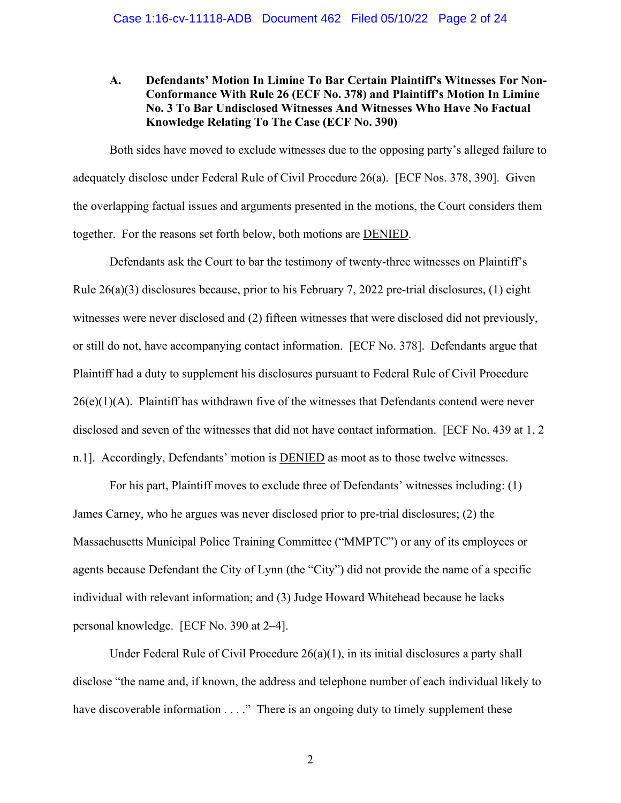## **A. Defendants' Motion In Limine To Bar Certain Plaintiff's Witnesses For Non-Conformance With Rule 26 (ECF No. 378) and Plaintiff's Motion In Limine No. 3 To Bar Undisclosed Witnesses And Witnesses Who Have No Factual Knowledge Relating To The Case (ECF No. 390)**

Both sides have moved to exclude witnesses due to the opposing party's alleged failure to adequately disclose under Federal Rule of Civil Procedure 26(a). [ECF Nos. 378, 390]. Given the overlapping factual issues and arguments presented in the motions, the Court considers them together. For the reasons set forth below, both motions are DENIED.

Defendants ask the Court to bar the testimony of twenty-three witnesses on Plaintiff's Rule 26(a)(3) disclosures because, prior to his February 7, 2022 pre-trial disclosures, (1) eight witnesses were never disclosed and (2) fifteen witnesses that were disclosed did not previously, or still do not, have accompanying contact information. [ECF No. 378]. Defendants argue that Plaintiff had a duty to supplement his disclosures pursuant to Federal Rule of Civil Procedure  $26(e)(1)(A)$ . Plaintiff has withdrawn five of the witnesses that Defendants contend were never disclosed and seven of the witnesses that did not have contact information. [ECF No. 439 at 1, 2 n.1]. Accordingly, Defendants' motion is DENIED as moot as to those twelve witnesses.

For his part, Plaintiff moves to exclude three of Defendants' witnesses including: (1) James Carney, who he argues was never disclosed prior to pre-trial disclosures; (2) the Massachusetts Municipal Police Training Committee ("MMPTC") or any of its employees or agents because Defendant the City of Lynn (the "City") did not provide the name of a specific individual with relevant information; and (3) Judge Howard Whitehead because he lacks personal knowledge. [ECF No. 390 at 2–4].

Under Federal Rule of Civil Procedure 26(a)(1), in its initial disclosures a party shall disclose "the name and, if known, the address and telephone number of each individual likely to have discoverable information . . . ." There is an ongoing duty to timely supplement these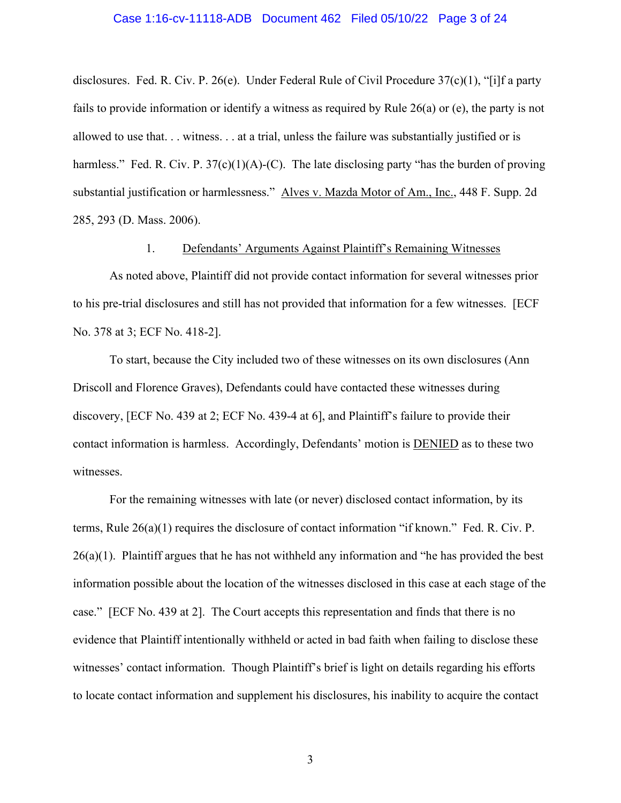#### Case 1:16-cv-11118-ADB Document 462 Filed 05/10/22 Page 3 of 24

disclosures. Fed. R. Civ. P. 26(e). Under Federal Rule of Civil Procedure 37(c)(1), "[i]f a party fails to provide information or identify a witness as required by Rule 26(a) or (e), the party is not allowed to use that. . . witness. . . at a trial, unless the failure was substantially justified or is harmless." Fed. R. Civ. P.  $37(c)(1)(A)-(C)$ . The late disclosing party "has the burden of proving substantial justification or harmlessness." Alves v. Mazda Motor of Am., Inc., 448 F. Supp. 2d 285, 293 (D. Mass. 2006).

1. Defendants' Arguments Against Plaintiff's Remaining Witnesses

As noted above, Plaintiff did not provide contact information for several witnesses prior to his pre-trial disclosures and still has not provided that information for a few witnesses. [ECF No. 378 at 3; ECF No. 418-2].

To start, because the City included two of these witnesses on its own disclosures (Ann Driscoll and Florence Graves), Defendants could have contacted these witnesses during discovery, [ECF No. 439 at 2; ECF No. 439-4 at 6], and Plaintiff's failure to provide their contact information is harmless. Accordingly, Defendants' motion is DENIED as to these two witnesses.

For the remaining witnesses with late (or never) disclosed contact information, by its terms, Rule 26(a)(1) requires the disclosure of contact information "if known." Fed. R. Civ. P. 26(a)(1). Plaintiff argues that he has not withheld any information and "he has provided the best information possible about the location of the witnesses disclosed in this case at each stage of the case." [ECF No. 439 at 2]. The Court accepts this representation and finds that there is no evidence that Plaintiff intentionally withheld or acted in bad faith when failing to disclose these witnesses' contact information. Though Plaintiff's brief is light on details regarding his efforts to locate contact information and supplement his disclosures, his inability to acquire the contact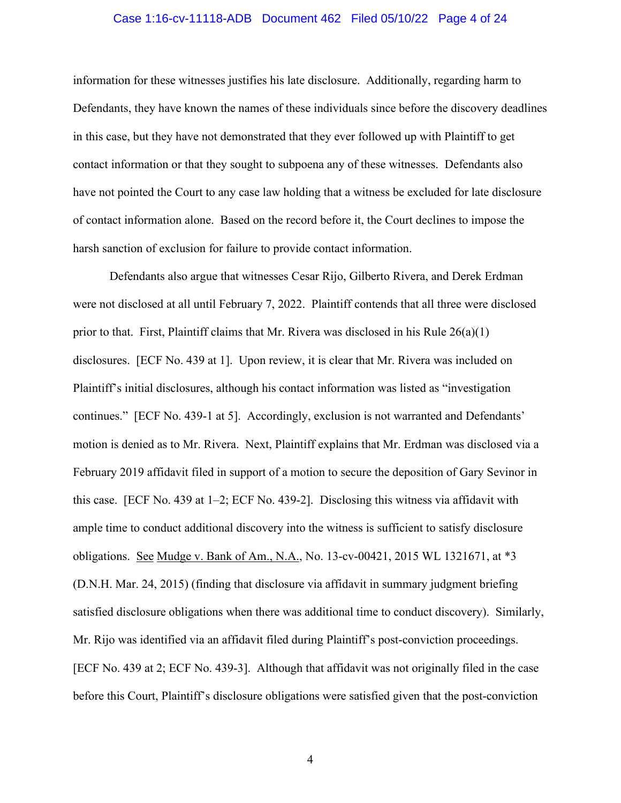#### Case 1:16-cv-11118-ADB Document 462 Filed 05/10/22 Page 4 of 24

information for these witnesses justifies his late disclosure. Additionally, regarding harm to Defendants, they have known the names of these individuals since before the discovery deadlines in this case, but they have not demonstrated that they ever followed up with Plaintiff to get contact information or that they sought to subpoena any of these witnesses. Defendants also have not pointed the Court to any case law holding that a witness be excluded for late disclosure of contact information alone. Based on the record before it, the Court declines to impose the harsh sanction of exclusion for failure to provide contact information.

Defendants also argue that witnesses Cesar Rijo, Gilberto Rivera, and Derek Erdman were not disclosed at all until February 7, 2022. Plaintiff contends that all three were disclosed prior to that. First, Plaintiff claims that Mr. Rivera was disclosed in his Rule  $26(a)(1)$ disclosures. [ECF No. 439 at 1]. Upon review, it is clear that Mr. Rivera was included on Plaintiff's initial disclosures, although his contact information was listed as "investigation continues." [ECF No. 439-1 at 5]. Accordingly, exclusion is not warranted and Defendants' motion is denied as to Mr. Rivera. Next, Plaintiff explains that Mr. Erdman was disclosed via a February 2019 affidavit filed in support of a motion to secure the deposition of Gary Sevinor in this case. [ECF No. 439 at 1–2; ECF No. 439-2]. Disclosing this witness via affidavit with ample time to conduct additional discovery into the witness is sufficient to satisfy disclosure obligations. See Mudge v. Bank of Am., N.A., No. 13-cv-00421, 2015 WL 1321671, at \*3 (D.N.H. Mar. 24, 2015) (finding that disclosure via affidavit in summary judgment briefing satisfied disclosure obligations when there was additional time to conduct discovery). Similarly, Mr. Rijo was identified via an affidavit filed during Plaintiff's post-conviction proceedings. [ECF No. 439 at 2; ECF No. 439-3]. Although that affidavit was not originally filed in the case before this Court, Plaintiff's disclosure obligations were satisfied given that the post-conviction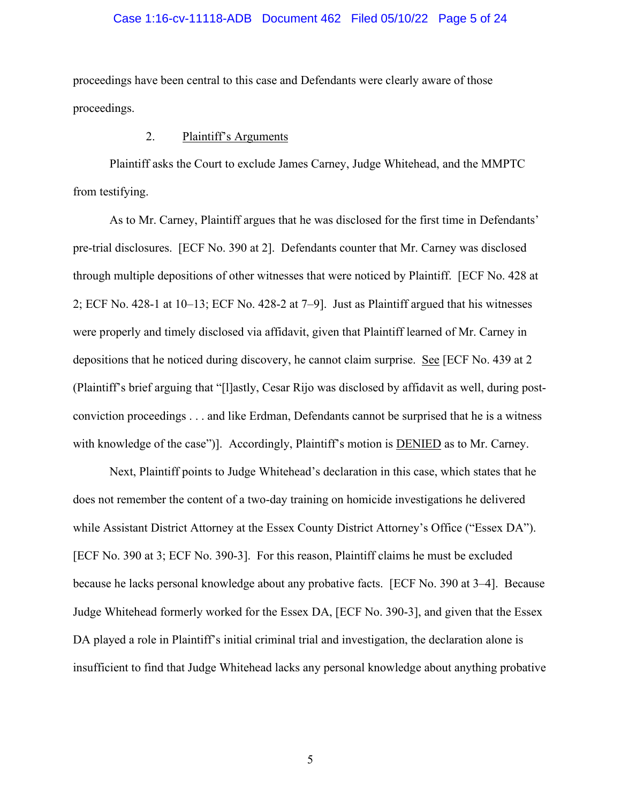#### Case 1:16-cv-11118-ADB Document 462 Filed 05/10/22 Page 5 of 24

proceedings have been central to this case and Defendants were clearly aware of those proceedings.

### 2. Plaintiff's Arguments

Plaintiff asks the Court to exclude James Carney, Judge Whitehead, and the MMPTC from testifying.

As to Mr. Carney, Plaintiff argues that he was disclosed for the first time in Defendants' pre-trial disclosures. [ECF No. 390 at 2]. Defendants counter that Mr. Carney was disclosed through multiple depositions of other witnesses that were noticed by Plaintiff. [ECF No. 428 at 2; ECF No. 428-1 at 10–13; ECF No. 428-2 at 7–9]. Just as Plaintiff argued that his witnesses were properly and timely disclosed via affidavit, given that Plaintiff learned of Mr. Carney in depositions that he noticed during discovery, he cannot claim surprise. See [ECF No. 439 at 2 (Plaintiff's brief arguing that "[l]astly, Cesar Rijo was disclosed by affidavit as well, during postconviction proceedings . . . and like Erdman, Defendants cannot be surprised that he is a witness with knowledge of the case")]. Accordingly, Plaintiff's motion is DENIED as to Mr. Carney.

Next, Plaintiff points to Judge Whitehead's declaration in this case, which states that he does not remember the content of a two-day training on homicide investigations he delivered while Assistant District Attorney at the Essex County District Attorney's Office ("Essex DA"). [ECF No. 390 at 3; ECF No. 390-3]. For this reason, Plaintiff claims he must be excluded because he lacks personal knowledge about any probative facts. [ECF No. 390 at 3–4]. Because Judge Whitehead formerly worked for the Essex DA, [ECF No. 390-3], and given that the Essex DA played a role in Plaintiff's initial criminal trial and investigation, the declaration alone is insufficient to find that Judge Whitehead lacks any personal knowledge about anything probative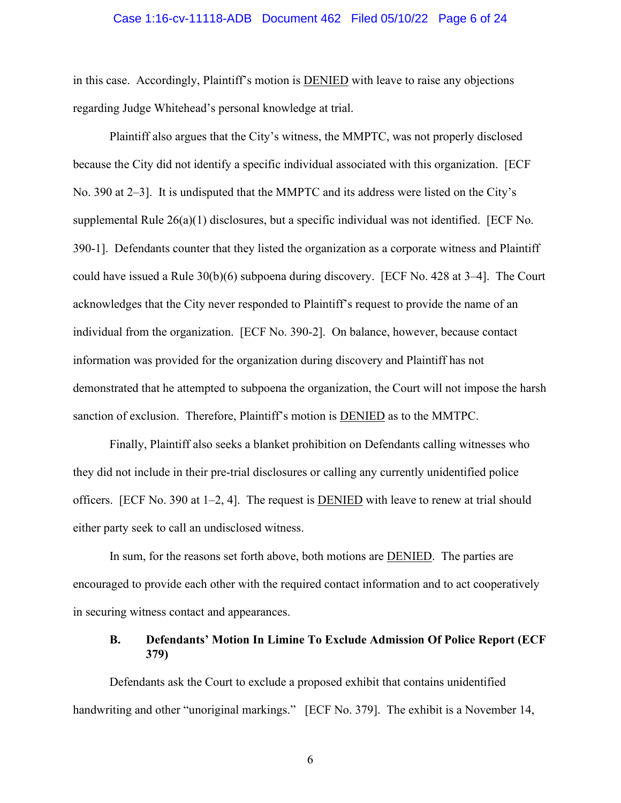#### Case 1:16-cv-11118-ADB Document 462 Filed 05/10/22 Page 6 of 24

in this case. Accordingly, Plaintiff's motion is DENIED with leave to raise any objections regarding Judge Whitehead's personal knowledge at trial.

Plaintiff also argues that the City's witness, the MMPTC, was not properly disclosed because the City did not identify a specific individual associated with this organization. [ECF No. 390 at 2–3]. It is undisputed that the MMPTC and its address were listed on the City's supplemental Rule  $26(a)(1)$  disclosures, but a specific individual was not identified. [ECF No. 390-1]. Defendants counter that they listed the organization as a corporate witness and Plaintiff could have issued a Rule 30(b)(6) subpoena during discovery. [ECF No. 428 at 3–4]. The Court acknowledges that the City never responded to Plaintiff's request to provide the name of an individual from the organization. [ECF No. 390-2]. On balance, however, because contact information was provided for the organization during discovery and Plaintiff has not demonstrated that he attempted to subpoena the organization, the Court will not impose the harsh sanction of exclusion. Therefore, Plaintiff's motion is DENIED as to the MMTPC.

Finally, Plaintiff also seeks a blanket prohibition on Defendants calling witnesses who they did not include in their pre-trial disclosures or calling any currently unidentified police officers. [ECF No. 390 at 1–2, 4]. The request is DENIED with leave to renew at trial should either party seek to call an undisclosed witness.

In sum, for the reasons set forth above, both motions are DENIED. The parties are encouraged to provide each other with the required contact information and to act cooperatively in securing witness contact and appearances.

#### **B. Defendants' Motion In Limine To Exclude Admission Of Police Report (ECF 379)**

Defendants ask the Court to exclude a proposed exhibit that contains unidentified handwriting and other "unoriginal markings." [ECF No. 379]. The exhibit is a November 14,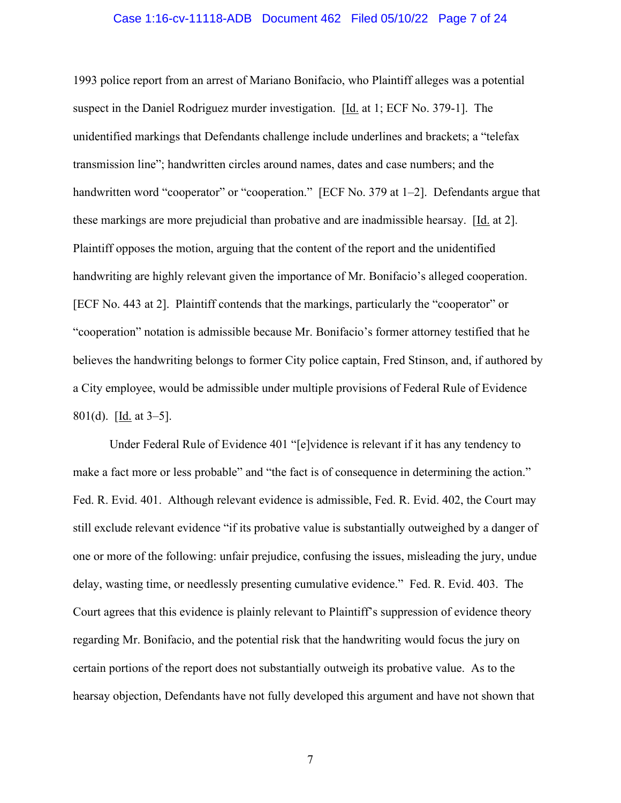#### Case 1:16-cv-11118-ADB Document 462 Filed 05/10/22 Page 7 of 24

1993 police report from an arrest of Mariano Bonifacio, who Plaintiff alleges was a potential suspect in the Daniel Rodriguez murder investigation. [Id. at 1; ECF No. 379-1]. The unidentified markings that Defendants challenge include underlines and brackets; a "telefax transmission line"; handwritten circles around names, dates and case numbers; and the handwritten word "cooperator" or "cooperation." [ECF No. 379 at 1–2]. Defendants argue that these markings are more prejudicial than probative and are inadmissible hearsay. [Id. at 2]. Plaintiff opposes the motion, arguing that the content of the report and the unidentified handwriting are highly relevant given the importance of Mr. Bonifacio's alleged cooperation. [ECF No. 443 at 2]. Plaintiff contends that the markings, particularly the "cooperator" or "cooperation" notation is admissible because Mr. Bonifacio's former attorney testified that he believes the handwriting belongs to former City police captain, Fred Stinson, and, if authored by a City employee, would be admissible under multiple provisions of Federal Rule of Evidence 801(d). [Id. at 3–5].

 Under Federal Rule of Evidence 401 "[e]vidence is relevant if it has any tendency to make a fact more or less probable" and "the fact is of consequence in determining the action." Fed. R. Evid. 401. Although relevant evidence is admissible, Fed. R. Evid. 402, the Court may still exclude relevant evidence "if its probative value is substantially outweighed by a danger of one or more of the following: unfair prejudice, confusing the issues, misleading the jury, undue delay, wasting time, or needlessly presenting cumulative evidence." Fed. R. Evid. 403. The Court agrees that this evidence is plainly relevant to Plaintiff's suppression of evidence theory regarding Mr. Bonifacio, and the potential risk that the handwriting would focus the jury on certain portions of the report does not substantially outweigh its probative value. As to the hearsay objection, Defendants have not fully developed this argument and have not shown that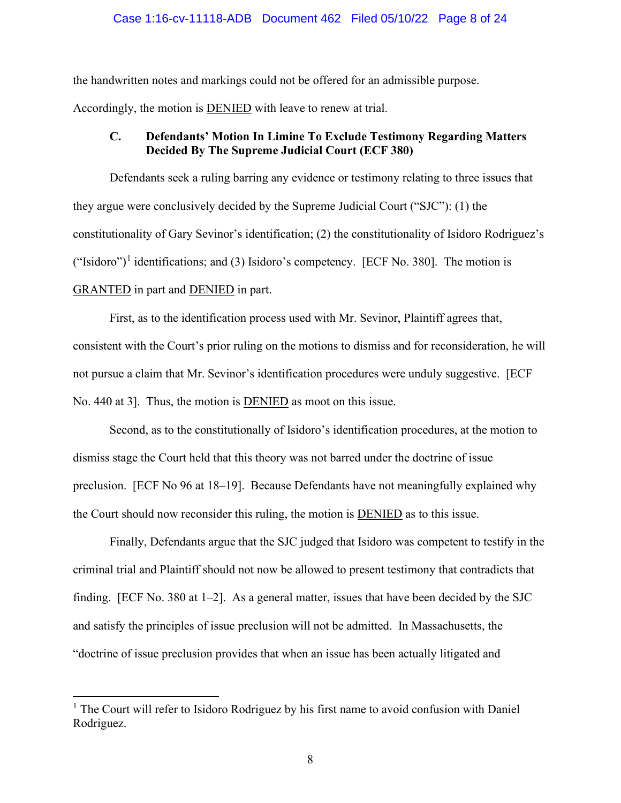#### Case 1:16-cv-11118-ADB Document 462 Filed 05/10/22 Page 8 of 24

the handwritten notes and markings could not be offered for an admissible purpose.

Accordingly, the motion is DENIED with leave to renew at trial.

# **C. Defendants' Motion In Limine To Exclude Testimony Regarding Matters Decided By The Supreme Judicial Court (ECF 380)**

Defendants seek a ruling barring any evidence or testimony relating to three issues that they argue were conclusively decided by the Supreme Judicial Court ("SJC"): (1) the constitutionality of Gary Sevinor's identification; (2) the constitutionality of Isidoro Rodriguez's ("Isidoro")<sup>1</sup> identifications; and (3) Isidoro's competency. [ECF No. 380]. The motion is GRANTED in part and DENIED in part.

First, as to the identification process used with Mr. Sevinor, Plaintiff agrees that, consistent with the Court's prior ruling on the motions to dismiss and for reconsideration, he will not pursue a claim that Mr. Sevinor's identification procedures were unduly suggestive. [ECF No. 440 at 3]. Thus, the motion is DENIED as moot on this issue.

Second, as to the constitutionally of Isidoro's identification procedures, at the motion to dismiss stage the Court held that this theory was not barred under the doctrine of issue preclusion. [ECF No 96 at 18–19]. Because Defendants have not meaningfully explained why the Court should now reconsider this ruling, the motion is DENIED as to this issue.

Finally, Defendants argue that the SJC judged that Isidoro was competent to testify in the criminal trial and Plaintiff should not now be allowed to present testimony that contradicts that finding. [ECF No. 380 at 1–2]. As a general matter, issues that have been decided by the SJC and satisfy the principles of issue preclusion will not be admitted. In Massachusetts, the "doctrine of issue preclusion provides that when an issue has been actually litigated and

<sup>&</sup>lt;sup>1</sup> The Court will refer to Isidoro Rodriguez by his first name to avoid confusion with Daniel Rodriguez.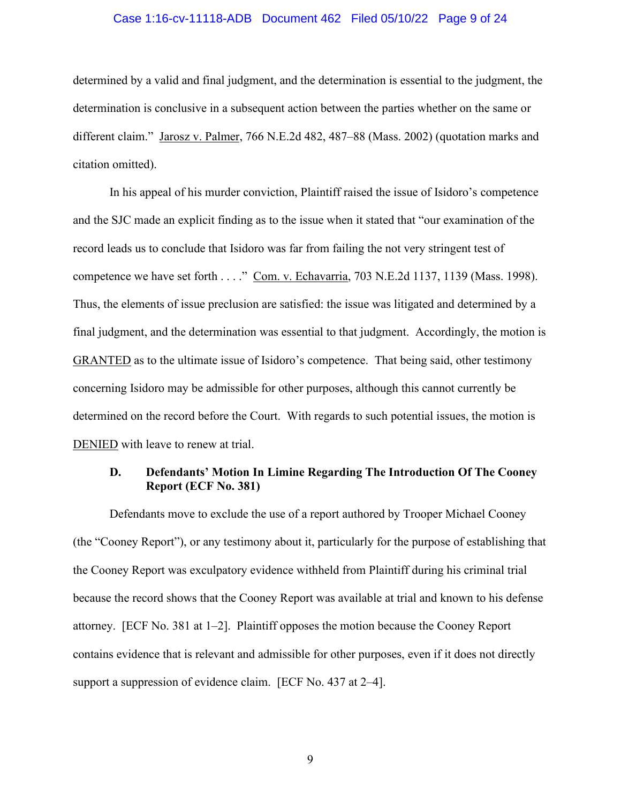#### Case 1:16-cv-11118-ADB Document 462 Filed 05/10/22 Page 9 of 24

determined by a valid and final judgment, and the determination is essential to the judgment, the determination is conclusive in a subsequent action between the parties whether on the same or different claim." Jarosz v. Palmer, 766 N.E.2d 482, 487–88 (Mass. 2002) (quotation marks and citation omitted).

In his appeal of his murder conviction, Plaintiff raised the issue of Isidoro's competence and the SJC made an explicit finding as to the issue when it stated that "our examination of the record leads us to conclude that Isidoro was far from failing the not very stringent test of competence we have set forth . . . ." Com. v. Echavarria, 703 N.E.2d 1137, 1139 (Mass. 1998). Thus, the elements of issue preclusion are satisfied: the issue was litigated and determined by a final judgment, and the determination was essential to that judgment. Accordingly, the motion is GRANTED as to the ultimate issue of Isidoro's competence. That being said, other testimony concerning Isidoro may be admissible for other purposes, although this cannot currently be determined on the record before the Court. With regards to such potential issues, the motion is DENIED with leave to renew at trial.

### **D. Defendants' Motion In Limine Regarding The Introduction Of The Cooney Report (ECF No. 381)**

Defendants move to exclude the use of a report authored by Trooper Michael Cooney (the "Cooney Report"), or any testimony about it, particularly for the purpose of establishing that the Cooney Report was exculpatory evidence withheld from Plaintiff during his criminal trial because the record shows that the Cooney Report was available at trial and known to his defense attorney. [ECF No. 381 at 1–2]. Plaintiff opposes the motion because the Cooney Report contains evidence that is relevant and admissible for other purposes, even if it does not directly support a suppression of evidence claim. [ECF No. 437 at 2–4].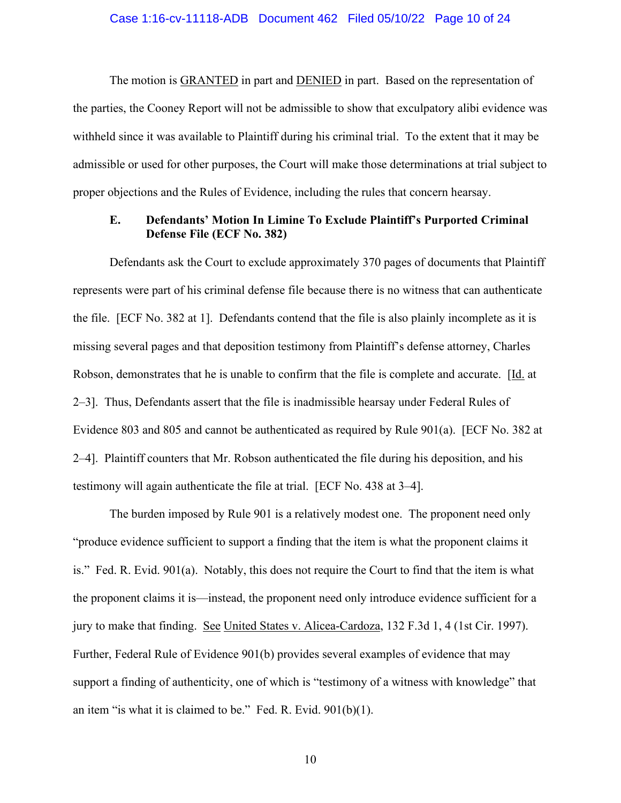The motion is **GRANTED** in part and **DENIED** in part. Based on the representation of the parties, the Cooney Report will not be admissible to show that exculpatory alibi evidence was withheld since it was available to Plaintiff during his criminal trial. To the extent that it may be admissible or used for other purposes, the Court will make those determinations at trial subject to proper objections and the Rules of Evidence, including the rules that concern hearsay.

### **E. Defendants' Motion In Limine To Exclude Plaintiff's Purported Criminal Defense File (ECF No. 382)**

Defendants ask the Court to exclude approximately 370 pages of documents that Plaintiff represents were part of his criminal defense file because there is no witness that can authenticate the file. [ECF No. 382 at 1]. Defendants contend that the file is also plainly incomplete as it is missing several pages and that deposition testimony from Plaintiff's defense attorney, Charles Robson, demonstrates that he is unable to confirm that the file is complete and accurate. [Id. at 2–3]. Thus, Defendants assert that the file is inadmissible hearsay under Federal Rules of Evidence 803 and 805 and cannot be authenticated as required by Rule 901(a). [ECF No. 382 at 2–4]. Plaintiff counters that Mr. Robson authenticated the file during his deposition, and his testimony will again authenticate the file at trial. [ECF No. 438 at 3–4].

The burden imposed by Rule 901 is a relatively modest one. The proponent need only "produce evidence sufficient to support a finding that the item is what the proponent claims it is." Fed. R. Evid. 901(a). Notably, this does not require the Court to find that the item is what the proponent claims it is—instead, the proponent need only introduce evidence sufficient for a jury to make that finding. See United States v. Alicea-Cardoza, 132 F.3d 1, 4 (1st Cir. 1997). Further, Federal Rule of Evidence 901(b) provides several examples of evidence that may support a finding of authenticity, one of which is "testimony of a witness with knowledge" that an item "is what it is claimed to be." Fed. R. Evid. 901(b)(1).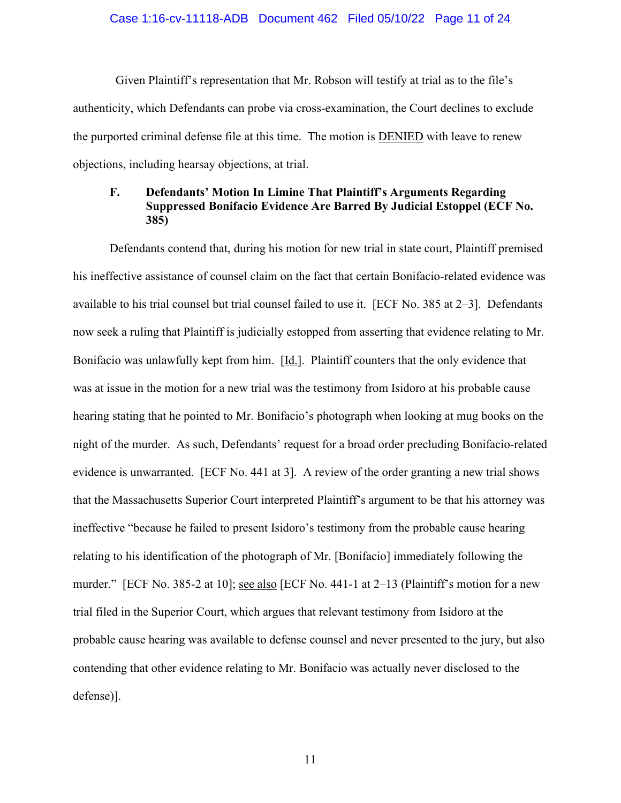#### Case 1:16-cv-11118-ADB Document 462 Filed 05/10/22 Page 11 of 24

 Given Plaintiff's representation that Mr. Robson will testify at trial as to the file's authenticity, which Defendants can probe via cross-examination, the Court declines to exclude the purported criminal defense file at this time. The motion is DENIED with leave to renew objections, including hearsay objections, at trial.

# **F. Defendants' Motion In Limine That Plaintiff's Arguments Regarding Suppressed Bonifacio Evidence Are Barred By Judicial Estoppel (ECF No. 385)**

Defendants contend that, during his motion for new trial in state court, Plaintiff premised his ineffective assistance of counsel claim on the fact that certain Bonifacio-related evidence was available to his trial counsel but trial counsel failed to use it. [ECF No. 385 at 2–3]. Defendants now seek a ruling that Plaintiff is judicially estopped from asserting that evidence relating to Mr. Bonifacio was unlawfully kept from him. [Id.]. Plaintiff counters that the only evidence that was at issue in the motion for a new trial was the testimony from Isidoro at his probable cause hearing stating that he pointed to Mr. Bonifacio's photograph when looking at mug books on the night of the murder. As such, Defendants' request for a broad order precluding Bonifacio-related evidence is unwarranted. [ECF No. 441 at 3]. A review of the order granting a new trial shows that the Massachusetts Superior Court interpreted Plaintiff's argument to be that his attorney was ineffective "because he failed to present Isidoro's testimony from the probable cause hearing relating to his identification of the photograph of Mr. [Bonifacio] immediately following the murder." [ECF No. 385-2 at 10]; see also [ECF No. 441-1 at  $2-13$  (Plaintiff's motion for a new trial filed in the Superior Court, which argues that relevant testimony from Isidoro at the probable cause hearing was available to defense counsel and never presented to the jury, but also contending that other evidence relating to Mr. Bonifacio was actually never disclosed to the defense)].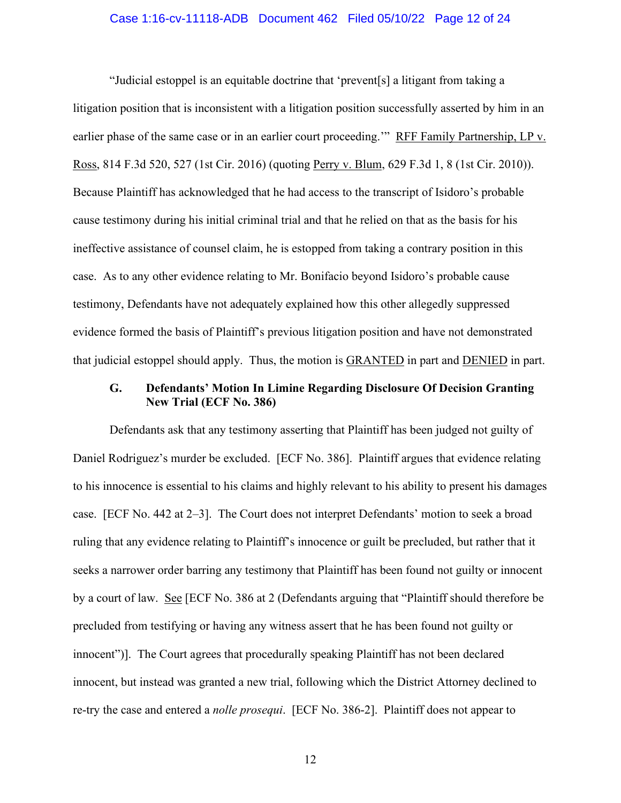#### Case 1:16-cv-11118-ADB Document 462 Filed 05/10/22 Page 12 of 24

 "Judicial estoppel is an equitable doctrine that 'prevent[s] a litigant from taking a litigation position that is inconsistent with a litigation position successfully asserted by him in an earlier phase of the same case or in an earlier court proceeding.'" RFF Family Partnership, LP v. Ross, 814 F.3d 520, 527 (1st Cir. 2016) (quoting Perry v. Blum, 629 F.3d 1, 8 (1st Cir. 2010)). Because Plaintiff has acknowledged that he had access to the transcript of Isidoro's probable cause testimony during his initial criminal trial and that he relied on that as the basis for his ineffective assistance of counsel claim, he is estopped from taking a contrary position in this case. As to any other evidence relating to Mr. Bonifacio beyond Isidoro's probable cause testimony, Defendants have not adequately explained how this other allegedly suppressed evidence formed the basis of Plaintiff's previous litigation position and have not demonstrated that judicial estoppel should apply. Thus, the motion is GRANTED in part and DENIED in part.

### **G. Defendants' Motion In Limine Regarding Disclosure Of Decision Granting New Trial (ECF No. 386)**

Defendants ask that any testimony asserting that Plaintiff has been judged not guilty of Daniel Rodriguez's murder be excluded. [ECF No. 386]. Plaintiff argues that evidence relating to his innocence is essential to his claims and highly relevant to his ability to present his damages case. [ECF No. 442 at 2–3]. The Court does not interpret Defendants' motion to seek a broad ruling that any evidence relating to Plaintiff's innocence or guilt be precluded, but rather that it seeks a narrower order barring any testimony that Plaintiff has been found not guilty or innocent by a court of law. See [ECF No. 386 at 2 (Defendants arguing that "Plaintiff should therefore be precluded from testifying or having any witness assert that he has been found not guilty or innocent")]. The Court agrees that procedurally speaking Plaintiff has not been declared innocent, but instead was granted a new trial, following which the District Attorney declined to re-try the case and entered a *nolle prosequi*. [ECF No. 386-2]. Plaintiff does not appear to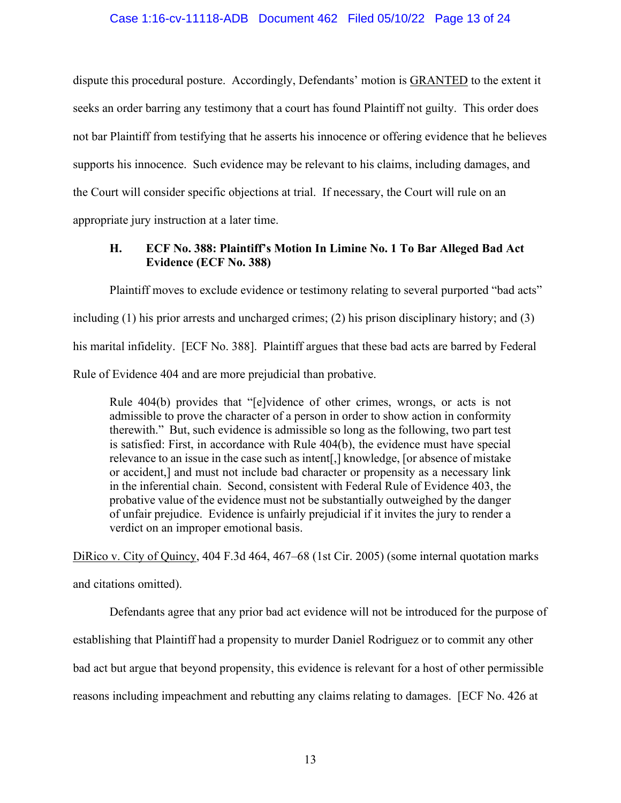dispute this procedural posture. Accordingly, Defendants' motion is **GRANTED** to the extent it seeks an order barring any testimony that a court has found Plaintiff not guilty. This order does not bar Plaintiff from testifying that he asserts his innocence or offering evidence that he believes supports his innocence. Such evidence may be relevant to his claims, including damages, and the Court will consider specific objections at trial. If necessary, the Court will rule on an appropriate jury instruction at a later time.

# **H. ECF No. 388: Plaintiff's Motion In Limine No. 1 To Bar Alleged Bad Act Evidence (ECF No. 388)**

Plaintiff moves to exclude evidence or testimony relating to several purported "bad acts" including (1) his prior arrests and uncharged crimes; (2) his prison disciplinary history; and (3) his marital infidelity. [ECF No. 388]. Plaintiff argues that these bad acts are barred by Federal Rule of Evidence 404 and are more prejudicial than probative.

Rule 404(b) provides that "[e]vidence of other crimes, wrongs, or acts is not admissible to prove the character of a person in order to show action in conformity therewith." But, such evidence is admissible so long as the following, two part test is satisfied: First, in accordance with Rule 404(b), the evidence must have special relevance to an issue in the case such as intent[,] knowledge, [or absence of mistake or accident,] and must not include bad character or propensity as a necessary link in the inferential chain. Second, consistent with Federal Rule of Evidence 403, the probative value of the evidence must not be substantially outweighed by the danger of unfair prejudice. Evidence is unfairly prejudicial if it invites the jury to render a verdict on an improper emotional basis.

DiRico v. City of Quincy, 404 F.3d 464, 467–68 (1st Cir. 2005) (some internal quotation marks and citations omitted).

Defendants agree that any prior bad act evidence will not be introduced for the purpose of establishing that Plaintiff had a propensity to murder Daniel Rodriguez or to commit any other bad act but argue that beyond propensity, this evidence is relevant for a host of other permissible reasons including impeachment and rebutting any claims relating to damages. [ECF No. 426 at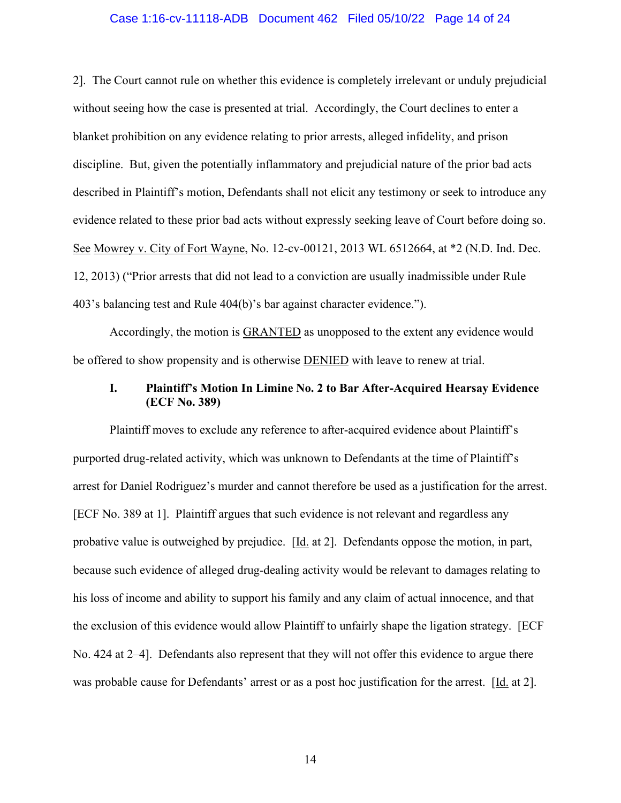#### Case 1:16-cv-11118-ADB Document 462 Filed 05/10/22 Page 14 of 24

2]. The Court cannot rule on whether this evidence is completely irrelevant or unduly prejudicial without seeing how the case is presented at trial. Accordingly, the Court declines to enter a blanket prohibition on any evidence relating to prior arrests, alleged infidelity, and prison discipline. But, given the potentially inflammatory and prejudicial nature of the prior bad acts described in Plaintiff's motion, Defendants shall not elicit any testimony or seek to introduce any evidence related to these prior bad acts without expressly seeking leave of Court before doing so. See Mowrey v. City of Fort Wayne, No. 12-cv-00121, 2013 WL 6512664, at \*2 (N.D. Ind. Dec. 12, 2013) ("Prior arrests that did not lead to a conviction are usually inadmissible under Rule 403's balancing test and Rule 404(b)'s bar against character evidence.").

Accordingly, the motion is GRANTED as unopposed to the extent any evidence would be offered to show propensity and is otherwise DENIED with leave to renew at trial.

### **I. Plaintiff's Motion In Limine No. 2 to Bar After-Acquired Hearsay Evidence (ECF No. 389)**

Plaintiff moves to exclude any reference to after-acquired evidence about Plaintiff's purported drug-related activity, which was unknown to Defendants at the time of Plaintiff's arrest for Daniel Rodriguez's murder and cannot therefore be used as a justification for the arrest. [ECF No. 389 at 1]. Plaintiff argues that such evidence is not relevant and regardless any probative value is outweighed by prejudice. [Id. at 2]. Defendants oppose the motion, in part, because such evidence of alleged drug-dealing activity would be relevant to damages relating to his loss of income and ability to support his family and any claim of actual innocence, and that the exclusion of this evidence would allow Plaintiff to unfairly shape the ligation strategy. [ECF No. 424 at 2–4]. Defendants also represent that they will not offer this evidence to argue there was probable cause for Defendants' arrest or as a post hoc justification for the arrest. [Id. at 2].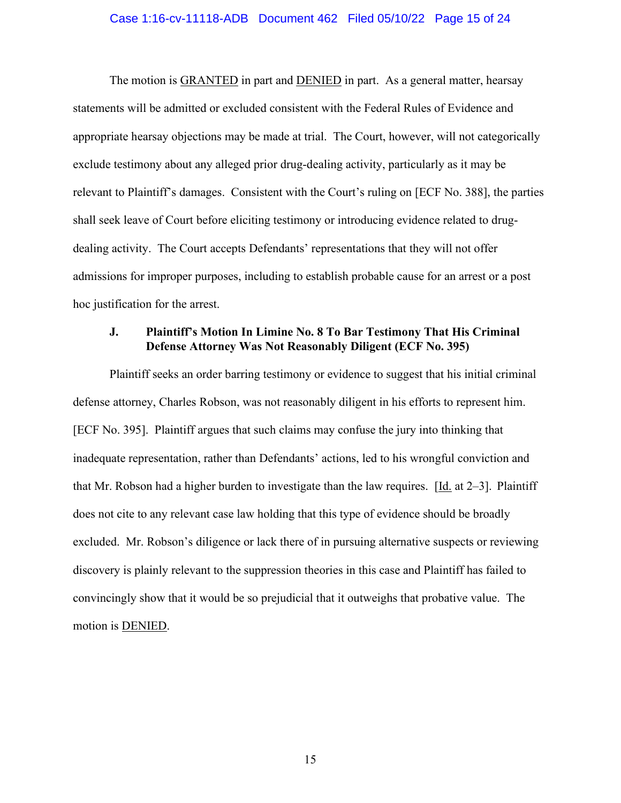The motion is GRANTED in part and DENIED in part. As a general matter, hearsay statements will be admitted or excluded consistent with the Federal Rules of Evidence and appropriate hearsay objections may be made at trial. The Court, however, will not categorically exclude testimony about any alleged prior drug-dealing activity, particularly as it may be relevant to Plaintiff's damages. Consistent with the Court's ruling on [ECF No. 388], the parties shall seek leave of Court before eliciting testimony or introducing evidence related to drugdealing activity. The Court accepts Defendants' representations that they will not offer admissions for improper purposes, including to establish probable cause for an arrest or a post hoc justification for the arrest.

### **J. Plaintiff's Motion In Limine No. 8 To Bar Testimony That His Criminal Defense Attorney Was Not Reasonably Diligent (ECF No. 395)**

Plaintiff seeks an order barring testimony or evidence to suggest that his initial criminal defense attorney, Charles Robson, was not reasonably diligent in his efforts to represent him. [ECF No. 395]. Plaintiff argues that such claims may confuse the jury into thinking that inadequate representation, rather than Defendants' actions, led to his wrongful conviction and that Mr. Robson had a higher burden to investigate than the law requires. [Id. at 2–3]. Plaintiff does not cite to any relevant case law holding that this type of evidence should be broadly excluded. Mr. Robson's diligence or lack there of in pursuing alternative suspects or reviewing discovery is plainly relevant to the suppression theories in this case and Plaintiff has failed to convincingly show that it would be so prejudicial that it outweighs that probative value. The motion is DENIED.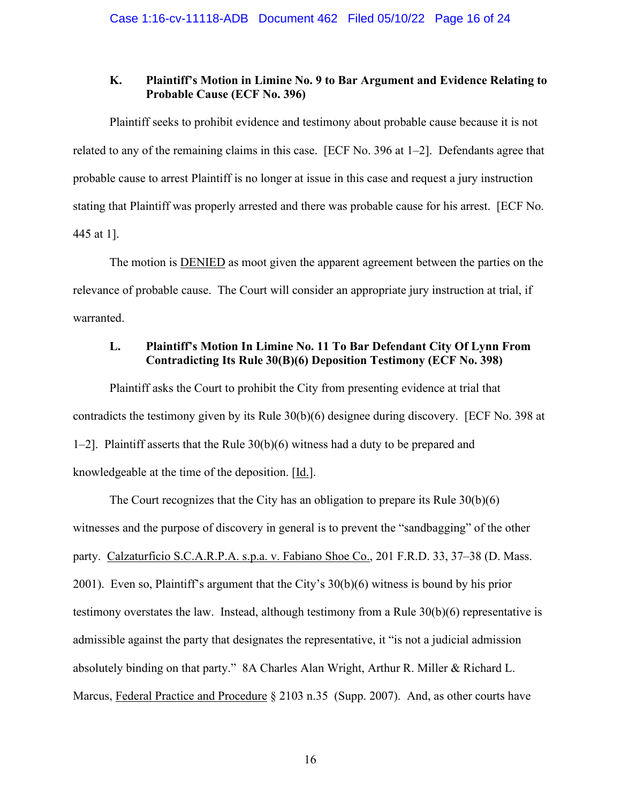### **K. Plaintiff's Motion in Limine No. 9 to Bar Argument and Evidence Relating to Probable Cause (ECF No. 396)**

Plaintiff seeks to prohibit evidence and testimony about probable cause because it is not related to any of the remaining claims in this case. [ECF No. 396 at 1–2]. Defendants agree that probable cause to arrest Plaintiff is no longer at issue in this case and request a jury instruction stating that Plaintiff was properly arrested and there was probable cause for his arrest. [ECF No. 445 at 1].

The motion is **DENIED** as moot given the apparent agreement between the parties on the relevance of probable cause. The Court will consider an appropriate jury instruction at trial, if warranted.

# **L. Plaintiff's Motion In Limine No. 11 To Bar Defendant City Of Lynn From Contradicting Its Rule 30(B)(6) Deposition Testimony (ECF No. 398)**

Plaintiff asks the Court to prohibit the City from presenting evidence at trial that contradicts the testimony given by its Rule 30(b)(6) designee during discovery. [ECF No. 398 at 1–2]. Plaintiff asserts that the Rule 30(b)(6) witness had a duty to be prepared and knowledgeable at the time of the deposition. [Id.].

The Court recognizes that the City has an obligation to prepare its Rule 30(b)(6) witnesses and the purpose of discovery in general is to prevent the "sandbagging" of the other party. Calzaturficio S.C.A.R.P.A. s.p.a. v. Fabiano Shoe Co., 201 F.R.D. 33, 37–38 (D. Mass. 2001). Even so, Plaintiff's argument that the City's 30(b)(6) witness is bound by his prior testimony overstates the law. Instead, although testimony from a Rule 30(b)(6) representative is admissible against the party that designates the representative, it "is not a judicial admission absolutely binding on that party." 8A Charles Alan Wright, Arthur R. Miller & Richard L. Marcus, Federal Practice and Procedure § 2103 n.35 (Supp. 2007). And, as other courts have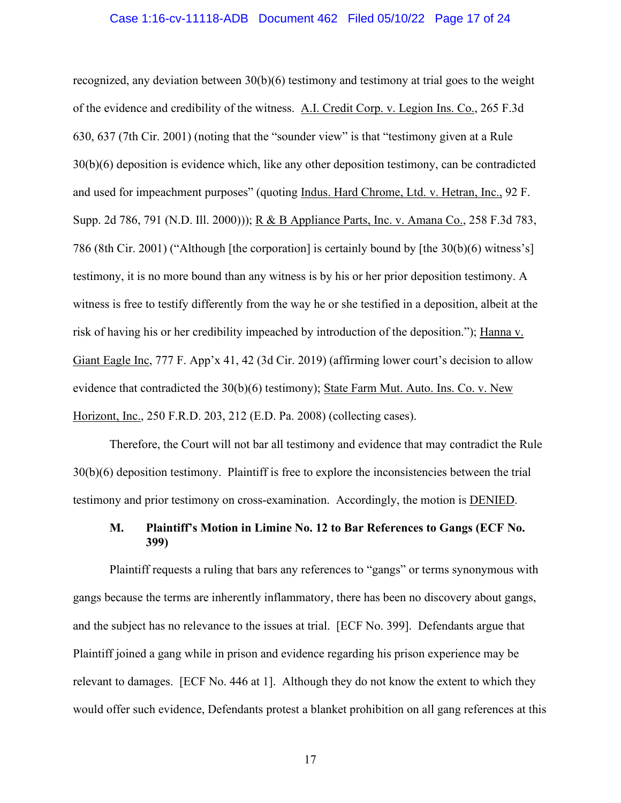#### Case 1:16-cv-11118-ADB Document 462 Filed 05/10/22 Page 17 of 24

recognized, any deviation between  $30(b)(6)$  testimony and testimony at trial goes to the weight of the evidence and credibility of the witness. A.I. Credit Corp. v. Legion Ins. Co., 265 F.3d 630, 637 (7th Cir. 2001) (noting that the "sounder view" is that "testimony given at a Rule 30(b)(6) deposition is evidence which, like any other deposition testimony, can be contradicted and used for impeachment purposes" (quoting Indus. Hard Chrome, Ltd. v. Hetran, Inc., 92 F. Supp. 2d 786, 791 (N.D. Ill. 2000))); R & B Appliance Parts, Inc. v. Amana Co., 258 F.3d 783, 786 (8th Cir. 2001) ("Although [the corporation] is certainly bound by [the 30(b)(6) witness's] testimony, it is no more bound than any witness is by his or her prior deposition testimony. A witness is free to testify differently from the way he or she testified in a deposition, albeit at the risk of having his or her credibility impeached by introduction of the deposition."); Hanna v. Giant Eagle Inc, 777 F. App'x 41, 42 (3d Cir. 2019) (affirming lower court's decision to allow evidence that contradicted the 30(b)(6) testimony); State Farm Mut. Auto. Ins. Co. v. New Horizont, Inc., 250 F.R.D. 203, 212 (E.D. Pa. 2008) (collecting cases).

 Therefore, the Court will not bar all testimony and evidence that may contradict the Rule 30(b)(6) deposition testimony. Plaintiff is free to explore the inconsistencies between the trial testimony and prior testimony on cross-examination. Accordingly, the motion is DENIED.

## **M. Plaintiff's Motion in Limine No. 12 to Bar References to Gangs (ECF No. 399)**

Plaintiff requests a ruling that bars any references to "gangs" or terms synonymous with gangs because the terms are inherently inflammatory, there has been no discovery about gangs, and the subject has no relevance to the issues at trial. [ECF No. 399]. Defendants argue that Plaintiff joined a gang while in prison and evidence regarding his prison experience may be relevant to damages. [ECF No. 446 at 1]. Although they do not know the extent to which they would offer such evidence, Defendants protest a blanket prohibition on all gang references at this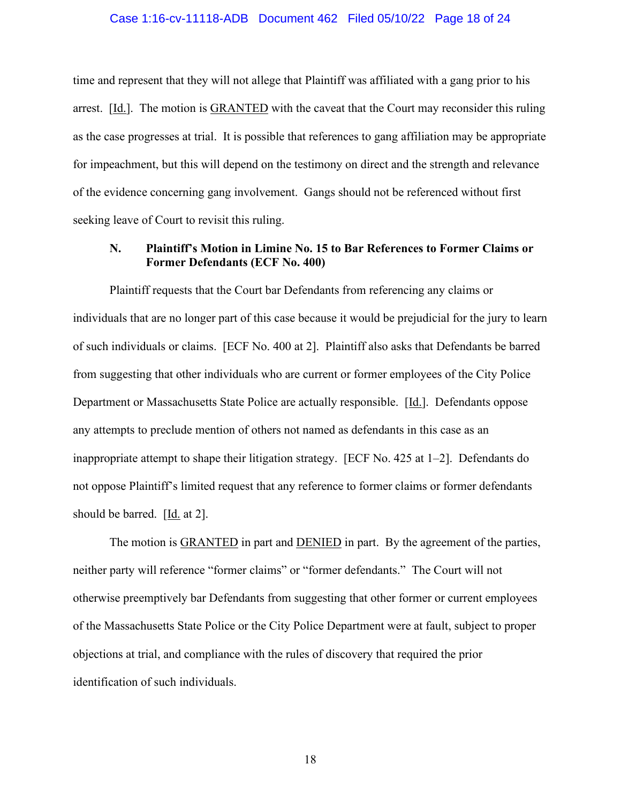#### Case 1:16-cv-11118-ADB Document 462 Filed 05/10/22 Page 18 of 24

time and represent that they will not allege that Plaintiff was affiliated with a gang prior to his arrest. [Id.]. The motion is GRANTED with the caveat that the Court may reconsider this ruling as the case progresses at trial. It is possible that references to gang affiliation may be appropriate for impeachment, but this will depend on the testimony on direct and the strength and relevance of the evidence concerning gang involvement. Gangs should not be referenced without first seeking leave of Court to revisit this ruling.

### **N. Plaintiff's Motion in Limine No. 15 to Bar References to Former Claims or Former Defendants (ECF No. 400)**

Plaintiff requests that the Court bar Defendants from referencing any claims or individuals that are no longer part of this case because it would be prejudicial for the jury to learn of such individuals or claims. [ECF No. 400 at 2]. Plaintiff also asks that Defendants be barred from suggesting that other individuals who are current or former employees of the City Police Department or Massachusetts State Police are actually responsible. [Id.]. Defendants oppose any attempts to preclude mention of others not named as defendants in this case as an inappropriate attempt to shape their litigation strategy. [ECF No. 425 at 1–2]. Defendants do not oppose Plaintiff's limited request that any reference to former claims or former defendants should be barred. [Id. at 2].

The motion is **GRANTED** in part and **DENIED** in part. By the agreement of the parties, neither party will reference "former claims" or "former defendants." The Court will not otherwise preemptively bar Defendants from suggesting that other former or current employees of the Massachusetts State Police or the City Police Department were at fault, subject to proper objections at trial, and compliance with the rules of discovery that required the prior identification of such individuals.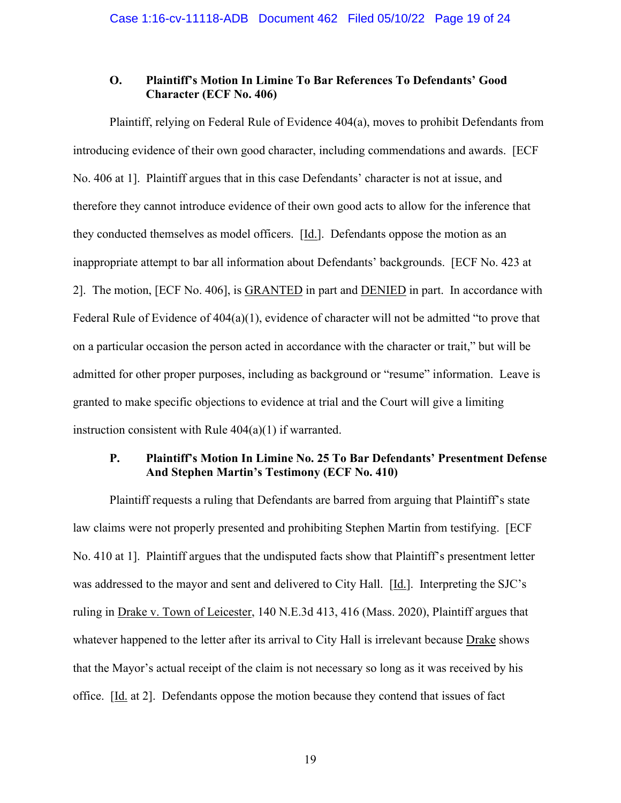### **O. Plaintiff's Motion In Limine To Bar References To Defendants' Good Character (ECF No. 406)**

Plaintiff, relying on Federal Rule of Evidence 404(a), moves to prohibit Defendants from introducing evidence of their own good character, including commendations and awards. [ECF No. 406 at 1]. Plaintiff argues that in this case Defendants' character is not at issue, and therefore they cannot introduce evidence of their own good acts to allow for the inference that they conducted themselves as model officers. [Id.]. Defendants oppose the motion as an inappropriate attempt to bar all information about Defendants' backgrounds. [ECF No. 423 at 2]. The motion, [ECF No. 406], is GRANTED in part and DENIED in part. In accordance with Federal Rule of Evidence of 404(a)(1), evidence of character will not be admitted "to prove that on a particular occasion the person acted in accordance with the character or trait," but will be admitted for other proper purposes, including as background or "resume" information. Leave is granted to make specific objections to evidence at trial and the Court will give a limiting instruction consistent with Rule 404(a)(1) if warranted.

### **P. Plaintiff's Motion In Limine No. 25 To Bar Defendants' Presentment Defense And Stephen Martin's Testimony (ECF No. 410)**

Plaintiff requests a ruling that Defendants are barred from arguing that Plaintiff's state law claims were not properly presented and prohibiting Stephen Martin from testifying. [ECF No. 410 at 1]. Plaintiff argues that the undisputed facts show that Plaintiff's presentment letter was addressed to the mayor and sent and delivered to City Hall. [Id.]. Interpreting the SJC's ruling in Drake v. Town of Leicester, 140 N.E.3d 413, 416 (Mass. 2020), Plaintiff argues that whatever happened to the letter after its arrival to City Hall is irrelevant because Drake shows that the Mayor's actual receipt of the claim is not necessary so long as it was received by his office. [Id. at 2]. Defendants oppose the motion because they contend that issues of fact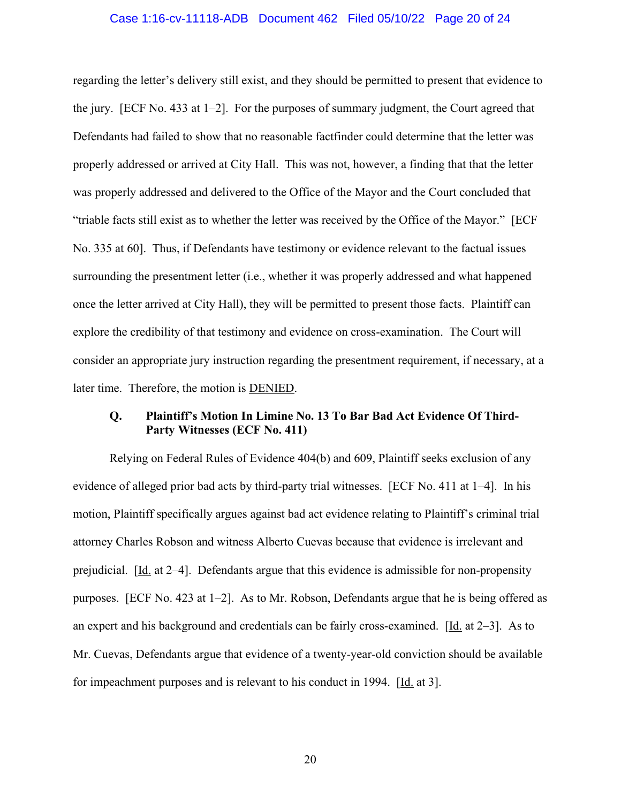#### Case 1:16-cv-11118-ADB Document 462 Filed 05/10/22 Page 20 of 24

regarding the letter's delivery still exist, and they should be permitted to present that evidence to the jury. [ECF No. 433 at 1–2]. For the purposes of summary judgment, the Court agreed that Defendants had failed to show that no reasonable factfinder could determine that the letter was properly addressed or arrived at City Hall. This was not, however, a finding that that the letter was properly addressed and delivered to the Office of the Mayor and the Court concluded that "triable facts still exist as to whether the letter was received by the Office of the Mayor." [ECF No. 335 at 60]. Thus, if Defendants have testimony or evidence relevant to the factual issues surrounding the presentment letter (i.e., whether it was properly addressed and what happened once the letter arrived at City Hall), they will be permitted to present those facts. Plaintiff can explore the credibility of that testimony and evidence on cross-examination. The Court will consider an appropriate jury instruction regarding the presentment requirement, if necessary, at a later time. Therefore, the motion is DENIED.

## **Q. Plaintiff's Motion In Limine No. 13 To Bar Bad Act Evidence Of Third-Party Witnesses (ECF No. 411)**

Relying on Federal Rules of Evidence 404(b) and 609, Plaintiff seeks exclusion of any evidence of alleged prior bad acts by third-party trial witnesses. [ECF No. 411 at 1–4]. In his motion, Plaintiff specifically argues against bad act evidence relating to Plaintiff's criminal trial attorney Charles Robson and witness Alberto Cuevas because that evidence is irrelevant and prejudicial. [Id. at 2–4]. Defendants argue that this evidence is admissible for non-propensity purposes. [ECF No. 423 at 1–2]. As to Mr. Robson, Defendants argue that he is being offered as an expert and his background and credentials can be fairly cross-examined. [Id. at 2–3]. As to Mr. Cuevas, Defendants argue that evidence of a twenty-year-old conviction should be available for impeachment purposes and is relevant to his conduct in 1994. [Id. at 3].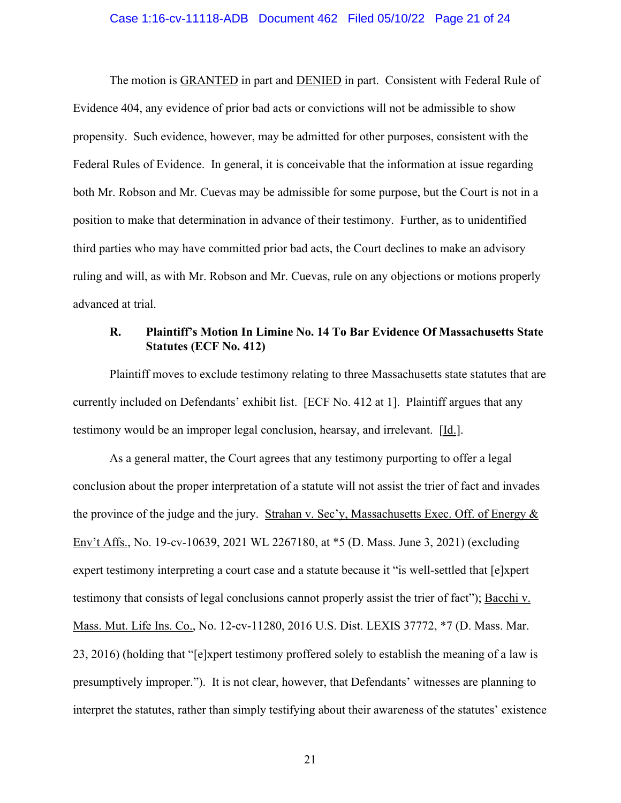#### Case 1:16-cv-11118-ADB Document 462 Filed 05/10/22 Page 21 of 24

The motion is GRANTED in part and DENIED in part. Consistent with Federal Rule of Evidence 404, any evidence of prior bad acts or convictions will not be admissible to show propensity. Such evidence, however, may be admitted for other purposes, consistent with the Federal Rules of Evidence. In general, it is conceivable that the information at issue regarding both Mr. Robson and Mr. Cuevas may be admissible for some purpose, but the Court is not in a position to make that determination in advance of their testimony. Further, as to unidentified third parties who may have committed prior bad acts, the Court declines to make an advisory ruling and will, as with Mr. Robson and Mr. Cuevas, rule on any objections or motions properly advanced at trial.

# **R. Plaintiff's Motion In Limine No. 14 To Bar Evidence Of Massachusetts State Statutes (ECF No. 412)**

Plaintiff moves to exclude testimony relating to three Massachusetts state statutes that are currently included on Defendants' exhibit list. [ECF No. 412 at 1]. Plaintiff argues that any testimony would be an improper legal conclusion, hearsay, and irrelevant. [Id.].

As a general matter, the Court agrees that any testimony purporting to offer a legal conclusion about the proper interpretation of a statute will not assist the trier of fact and invades the province of the judge and the jury. Strahan v. Sec'y, Massachusetts Exec. Off. of Energy & Env't Affs., No. 19-cv-10639, 2021 WL 2267180, at \*5 (D. Mass. June 3, 2021) (excluding expert testimony interpreting a court case and a statute because it "is well-settled that [e]xpert testimony that consists of legal conclusions cannot properly assist the trier of fact"); Bacchi v. Mass. Mut. Life Ins. Co., No. 12-cv-11280, 2016 U.S. Dist. LEXIS 37772, \*7 (D. Mass. Mar. 23, 2016) (holding that "[e]xpert testimony proffered solely to establish the meaning of a law is presumptively improper."). It is not clear, however, that Defendants' witnesses are planning to interpret the statutes, rather than simply testifying about their awareness of the statutes' existence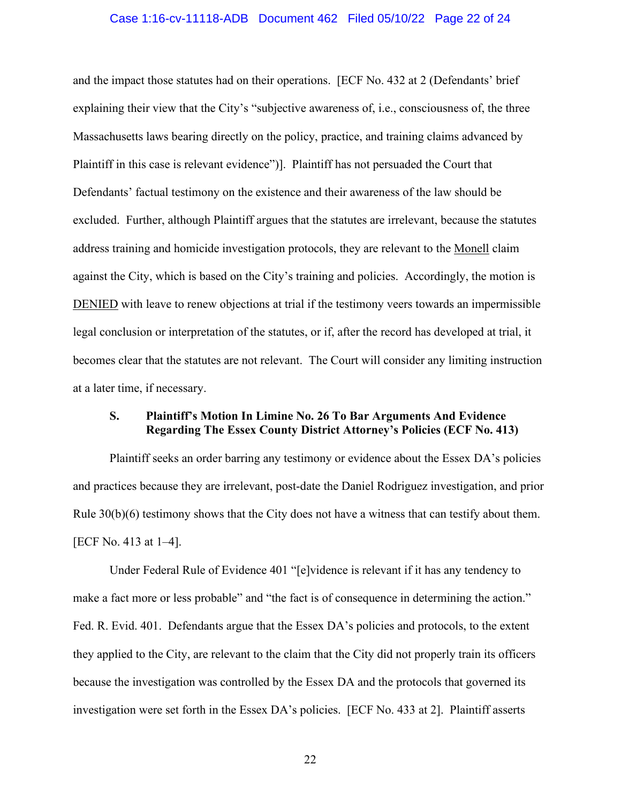#### Case 1:16-cv-11118-ADB Document 462 Filed 05/10/22 Page 22 of 24

and the impact those statutes had on their operations. [ECF No. 432 at 2 (Defendants' brief explaining their view that the City's "subjective awareness of, i.e., consciousness of, the three Massachusetts laws bearing directly on the policy, practice, and training claims advanced by Plaintiff in this case is relevant evidence")]. Plaintiff has not persuaded the Court that Defendants' factual testimony on the existence and their awareness of the law should be excluded. Further, although Plaintiff argues that the statutes are irrelevant, because the statutes address training and homicide investigation protocols, they are relevant to the Monell claim against the City, which is based on the City's training and policies. Accordingly, the motion is DENIED with leave to renew objections at trial if the testimony veers towards an impermissible legal conclusion or interpretation of the statutes, or if, after the record has developed at trial, it becomes clear that the statutes are not relevant. The Court will consider any limiting instruction at a later time, if necessary.

## **S. Plaintiff's Motion In Limine No. 26 To Bar Arguments And Evidence Regarding The Essex County District Attorney's Policies (ECF No. 413)**

Plaintiff seeks an order barring any testimony or evidence about the Essex DA's policies and practices because they are irrelevant, post-date the Daniel Rodriguez investigation, and prior Rule  $30(b)(6)$  testimony shows that the City does not have a witness that can testify about them. [ECF No. 413 at 1–4].

Under Federal Rule of Evidence 401 "[e]vidence is relevant if it has any tendency to make a fact more or less probable" and "the fact is of consequence in determining the action." Fed. R. Evid. 401. Defendants argue that the Essex DA's policies and protocols, to the extent they applied to the City, are relevant to the claim that the City did not properly train its officers because the investigation was controlled by the Essex DA and the protocols that governed its investigation were set forth in the Essex DA's policies. [ECF No. 433 at 2]. Plaintiff asserts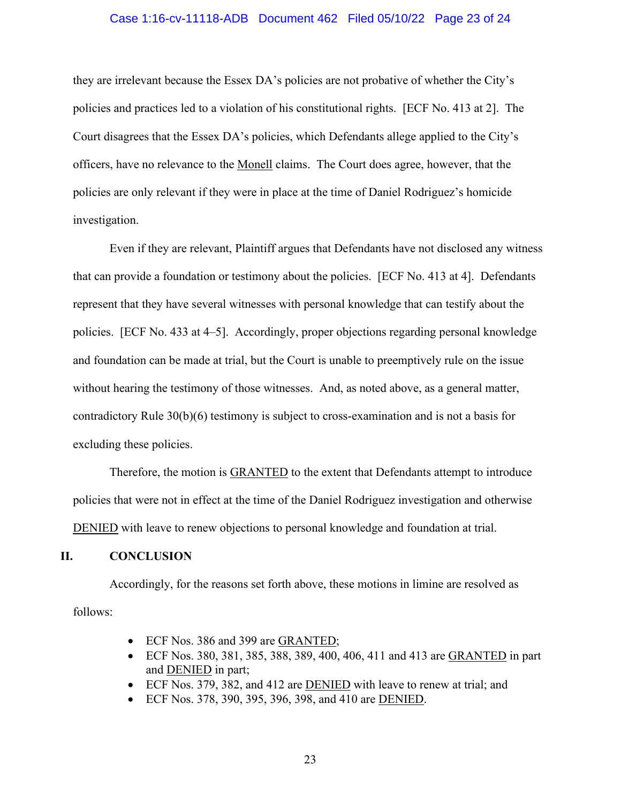#### Case 1:16-cv-11118-ADB Document 462 Filed 05/10/22 Page 23 of 24

they are irrelevant because the Essex DA's policies are not probative of whether the City's policies and practices led to a violation of his constitutional rights. [ECF No. 413 at 2]. The Court disagrees that the Essex DA's policies, which Defendants allege applied to the City's officers, have no relevance to the Monell claims. The Court does agree, however, that the policies are only relevant if they were in place at the time of Daniel Rodriguez's homicide investigation.

Even if they are relevant, Plaintiff argues that Defendants have not disclosed any witness that can provide a foundation or testimony about the policies. [ECF No. 413 at 4]. Defendants represent that they have several witnesses with personal knowledge that can testify about the policies. [ECF No. 433 at 4–5]. Accordingly, proper objections regarding personal knowledge and foundation can be made at trial, but the Court is unable to preemptively rule on the issue without hearing the testimony of those witnesses. And, as noted above, as a general matter, contradictory Rule 30(b)(6) testimony is subject to cross-examination and is not a basis for excluding these policies.

Therefore, the motion is **GRANTED** to the extent that Defendants attempt to introduce policies that were not in effect at the time of the Daniel Rodriguez investigation and otherwise DENIED with leave to renew objections to personal knowledge and foundation at trial.

### **II. CONCLUSION**

Accordingly, for the reasons set forth above, these motions in limine are resolved as follows:

- ECF Nos. 386 and 399 are GRANTED;
- ECF Nos. 380, 381, 385, 388, 389, 400, 406, 411 and 413 are GRANTED in part and DENIED in part;
- ECF Nos. 379, 382, and 412 are **DENIED** with leave to renew at trial; and
- ECF Nos. 378, 390, 395, 396, 398, and 410 are DENIED.